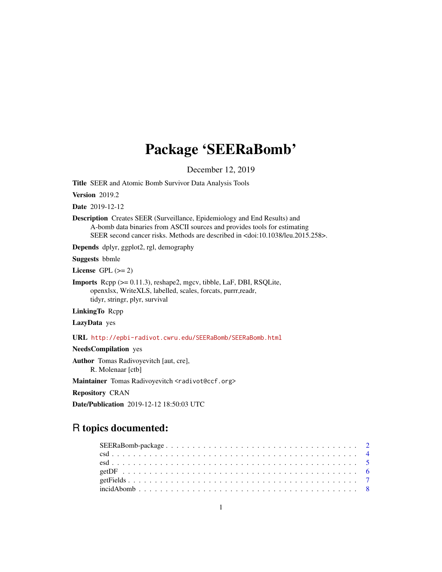# Package 'SEERaBomb'

December 12, 2019

<span id="page-0-0"></span>Title SEER and Atomic Bomb Survivor Data Analysis Tools

**Version** 2019.2

Date 2019-12-12

Description Creates SEER (Surveillance, Epidemiology and End Results) and A-bomb data binaries from ASCII sources and provides tools for estimating SEER second cancer risks. Methods are described in <doi:10.1038/leu.2015.258>.

Depends dplyr, ggplot2, rgl, demography

Suggests bbmle

License GPL  $(>= 2)$ 

Imports Rcpp (>= 0.11.3), reshape2, mgcv, tibble, LaF, DBI, RSQLite, openxlsx, WriteXLS, labelled, scales, forcats, purrr,readr, tidyr, stringr, plyr, survival

LinkingTo Rcpp

LazyData yes

URL <http://epbi-radivot.cwru.edu/SEERaBomb/SEERaBomb.html>

NeedsCompilation yes

Author Tomas Radivoyevitch [aut, cre], R. Molenaar [ctb]

Maintainer Tomas Radivoyevitch <radivot@ccf.org>

Repository CRAN

Date/Publication 2019-12-12 18:50:03 UTC

# R topics documented: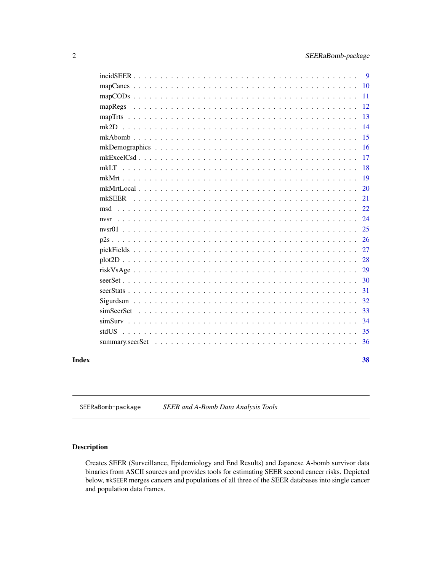<span id="page-1-0"></span>

| Index |       | 38 |
|-------|-------|----|
|       |       | 36 |
|       | stdUS | 35 |
|       |       | 34 |
|       |       | 33 |
|       |       | 32 |
|       |       | 31 |
|       |       | 30 |
|       |       | 29 |
|       |       | 28 |
|       |       | 27 |
|       |       | 26 |
|       |       | 25 |
|       |       | 24 |
|       | msd   | 22 |
|       |       | 21 |
|       |       | 20 |
|       |       | 19 |
|       |       | 18 |
|       |       | 17 |
|       |       | 16 |
|       |       | 15 |
|       |       | 14 |
|       |       | 13 |
|       |       | 12 |
|       |       | 11 |
|       |       | 10 |
|       |       | 9  |

<span id="page-1-1"></span>SEERaBomb-package *SEER and A-Bomb Data Analysis Tools*

# Description

Creates SEER (Surveillance, Epidemiology and End Results) and Japanese A-bomb survivor data binaries from ASCII sources and provides tools for estimating SEER second cancer risks. Depicted below, mkSEER merges cancers and populations of all three of the SEER databases into single cancer and population data frames.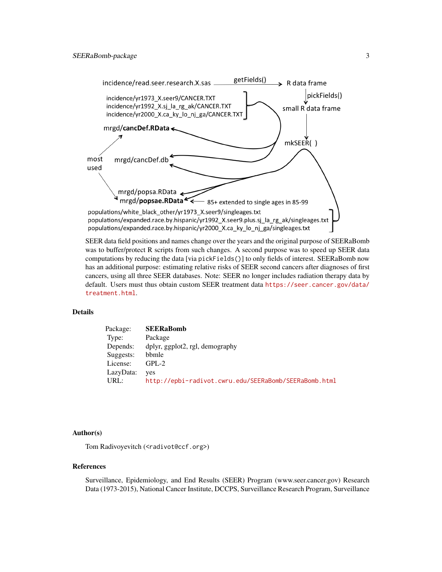

SEER data field positions and names change over the years and the original purpose of SEERaBomb was to buffer/protect R scripts from such changes. A second purpose was to speed up SEER data computations by reducing the data [via pickFields()] to only fields of interest. SEERaBomb now has an additional purpose: estimating relative risks of SEER second cancers after diagnoses of first cancers, using all three SEER databases. Note: SEER no longer includes radiation therapy data by default. Users must thus obtain custom SEER treatment data [https://seer.cancer.gov/data/](https://seer.cancer.gov/data/treatment.html) [treatment.html](https://seer.cancer.gov/data/treatment.html).

#### Details

| Package:  | <b>SEERaBomb</b>                                      |
|-----------|-------------------------------------------------------|
| Type:     | Package                                               |
| Depends:  | dplyr, ggplot2, rgl, demography                       |
| Suggests: | bbmle                                                 |
| License:  | $GPL-2$                                               |
| LazyData: | ves                                                   |
| URL:      | http://epbi-radivot.cwru.edu/SEERaBomb/SEERaBomb.html |

#### Author(s)

Tom Radivoyevitch (<radivot@ccf.org>)

#### References

Surveillance, Epidemiology, and End Results (SEER) Program (www.seer.cancer.gov) Research Data (1973-2015), National Cancer Institute, DCCPS, Surveillance Research Program, Surveillance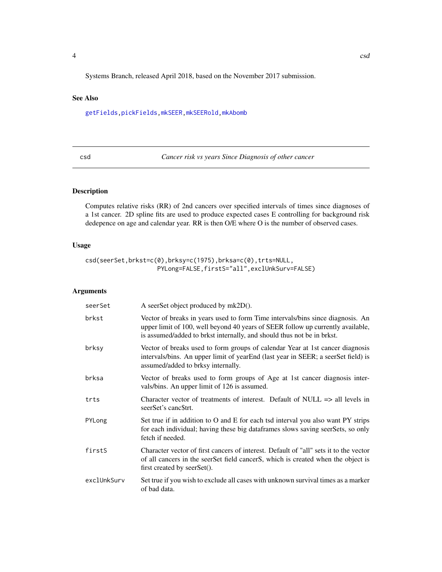<span id="page-3-0"></span>Systems Branch, released April 2018, based on the November 2017 submission.

#### See Also

[getFields](#page-6-1)[,pickFields,](#page-26-1)[mkSEER,](#page-20-1)[mkSEERold,](#page-0-0)[mkAbomb](#page-14-1)

<span id="page-3-1"></span>

| ×                                    |  |
|--------------------------------------|--|
| ٠<br>I<br>$\sim$<br>$\sim$<br>$\sim$ |  |

Cancer risk vs years Since Diagnosis of other cancer

# Description

Computes relative risks (RR) of 2nd cancers over specified intervals of times since diagnoses of a 1st cancer. 2D spline fits are used to produce expected cases E controlling for background risk dedepence on age and calendar year. RR is then O/E where O is the number of observed cases.

#### Usage

```
csd(seerSet,brkst=c(0),brksy=c(1975),brksa=c(0),trts=NULL,
                    PYLong=FALSE,firstS="all",exclUnkSurv=FALSE)
```
# Arguments

| seerSet     | A seerSet object produced by mk2D().                                                                                                                                                                                                        |
|-------------|---------------------------------------------------------------------------------------------------------------------------------------------------------------------------------------------------------------------------------------------|
| brkst       | Vector of breaks in years used to form Time intervals/bins since diagnosis. An<br>upper limit of 100, well beyond 40 years of SEER follow up currently available,<br>is assumed/added to brkst internally, and should thus not be in brkst. |
| brksy       | Vector of breaks used to form groups of calendar Year at 1st cancer diagnosis<br>intervals/bins. An upper limit of yearEnd (last year in SEER; a seerSet field) is<br>assumed/added to brksy internally.                                    |
| brksa       | Vector of breaks used to form groups of Age at 1st cancer diagnosis inter-<br>vals/bins. An upper limit of 126 is assumed.                                                                                                                  |
| trts        | Character vector of treatments of interest. Default of NULL $\Rightarrow$ all levels in<br>seerSet's canc <sub>Strt</sub> .                                                                                                                 |
| PYLong      | Set true if in addition to O and E for each tsd interval you also want PY strips<br>for each individual; having these big dataframes slows saving seerSets, so only<br>fetch if needed.                                                     |
| firstS      | Character vector of first cancers of interest. Default of "all" sets it to the vector<br>of all cancers in the seerSet field cancerS, which is created when the object is<br>first created by seerSet().                                    |
| exclUnkSurv | Set true if you wish to exclude all cases with unknown survival times as a marker<br>of bad data.                                                                                                                                           |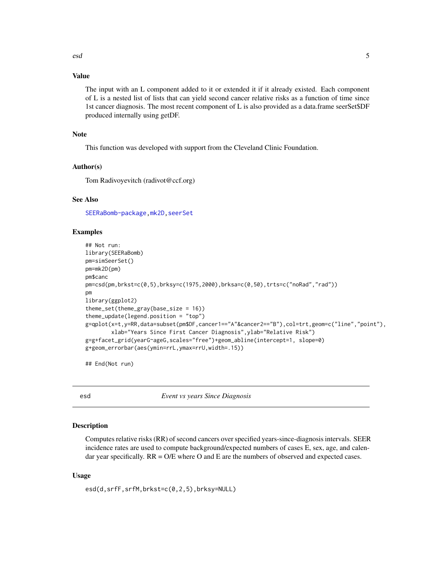# <span id="page-4-0"></span>Value

The input with an L component added to it or extended it if it already existed. Each component of L is a nested list of lists that can yield second cancer relative risks as a function of time since 1st cancer diagnosis. The most recent component of L is also provided as a data.frame seerSet\$DF produced internally using getDF.

#### Note

This function was developed with support from the Cleveland Clinic Foundation.

#### Author(s)

Tom Radivoyevitch (radivot@ccf.org)

#### See Also

[SEERaBomb-package](#page-1-1), mk2D, [seerSet](#page-29-1)

#### Examples

```
## Not run:
library(SEERaBomb)
pm=simSeerSet()
pm=mk2D(pm)
pm$canc
pm=csd(pm,brkst=c(0,5),brksy=c(1975,2000),brksa=c(0,50),trts=c("noRad","rad"))
pm
library(ggplot2)
theme_set(theme_gray(base_size = 16))
theme_update(legend.position = "top")
g=qplot(x=t,y=RR,data=subset(pm$DF,cancer1=="A"&cancer2=="B"),col=trt,geom=c("line","point"),
        xlab="Years Since First Cancer Diagnosis",ylab="Relative Risk")
g=g+facet_grid(yearG~ageG,scales="free")+geom_abline(intercept=1, slope=0)
g+geom_errorbar(aes(ymin=rrL,ymax=rrU,width=.15))
```
## End(Not run)

esd *Event vs years Since Diagnosis*

#### Description

Computes relative risks (RR) of second cancers over specified years-since-diagnosis intervals. SEER incidence rates are used to compute background/expected numbers of cases E, sex, age, and calendar year specifically.  $RR = O/E$  where O and E are the numbers of observed and expected cases.

#### Usage

esd(d,srfF,srfM,brkst=c(0,2,5),brksy=NULL)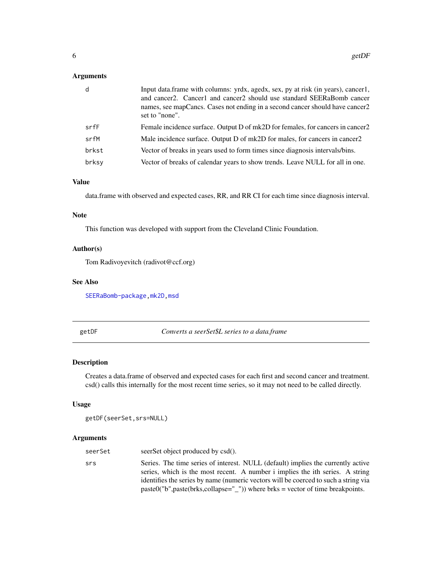# <span id="page-5-0"></span>Arguments

| d     | Input data.frame with columns: yrdx, agedx, sex, py at risk (in years), cancer1,<br>and cancer2. Cancer1 and cancer2 should use standard SEERaBomb cancer<br>names, see mapCancs. Cases not ending in a second cancer should have cancer 2<br>set to "none". |
|-------|--------------------------------------------------------------------------------------------------------------------------------------------------------------------------------------------------------------------------------------------------------------|
| srfF  | Female incidence surface. Output D of mk2D for females, for cancers in cancer2                                                                                                                                                                               |
| srfM  | Male incidence surface. Output D of mk2D for males, for cancers in cancer2                                                                                                                                                                                   |
| brkst | Vector of breaks in years used to form times since diagnosis intervals/bins.                                                                                                                                                                                 |
| brksy | Vector of breaks of calendar years to show trends. Leave NULL for all in one.                                                                                                                                                                                |

# Value

data.frame with observed and expected cases, RR, and RR CI for each time since diagnosis interval.

#### Note

This function was developed with support from the Cleveland Clinic Foundation.

# Author(s)

Tom Radivoyevitch (radivot@ccf.org)

#### See Also

[SEERaBomb-package](#page-1-1), mk2D, [msd](#page-21-1)

getDF *Converts a seerSet\$L series to a data.frame*

# Description

Creates a data.frame of observed and expected cases for each first and second cancer and treatment. csd() calls this internally for the most recent time series, so it may not need to be called directly.

# Usage

```
getDF(seerSet,srs=NULL)
```
# Arguments

| seerSet | seerSet object produced by csd().                                                                                                                                 |
|---------|-------------------------------------------------------------------------------------------------------------------------------------------------------------------|
| srs     | Series. The time series of interest. NULL (default) implies the currently active<br>series, which is the most recent. A number i implies the ith series. A string |
|         | identifies the series by name (numeric vectors will be coerced to such a string via                                                                               |
|         | $past0("b", paste(brks, collapse"—")$ ) where brks = vector of time breakpoints.                                                                                  |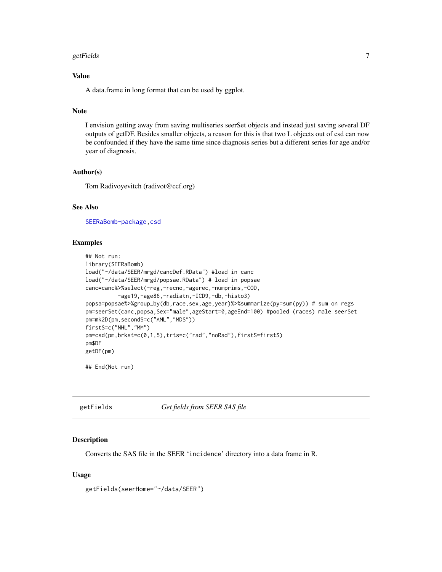#### <span id="page-6-0"></span>getFields **7**

# Value

A data.frame in long format that can be used by ggplot.

# Note

I envision getting away from saving multiseries seerSet objects and instead just saving several DF outputs of getDF. Besides smaller objects, a reason for this is that two L objects out of csd can now be confounded if they have the same time since diagnosis series but a different series for age and/or year of diagnosis.

#### Author(s)

Tom Radivoyevitch (radivot@ccf.org)

# See Also

[SEERaBomb-package](#page-1-1), csd

# Examples

```
## Not run:
library(SEERaBomb)
load("~/data/SEER/mrgd/cancDef.RData") #load in canc
load("~/data/SEER/mrgd/popsae.RData") # load in popsae
canc=canc%>%select(-reg,-recno,-agerec,-numprims,-COD,
          -age19,-age86,-radiatn,-ICD9,-db,-histo3)
popsa=popsae%>%group_by(db,race,sex,age,year)%>%summarize(py=sum(py)) # sum on regs
pm=seerSet(canc,popsa,Sex="male",ageStart=0,ageEnd=100) #pooled (races) male seerSet
pm=mk2D(pm,secondS=c("AML","MDS"))
firstS=c("NHL","MM")
pm=csd(pm,brkst=c(0,1,5),trts=c("rad","noRad"),firstS=firstS)
pm$DF
getDF(pm)
```
## End(Not run)

<span id="page-6-1"></span>getFields *Get fields from SEER SAS file*

#### Description

Converts the SAS file in the SEER 'incidence' directory into a data frame in R.

#### Usage

getFields(seerHome="~/data/SEER")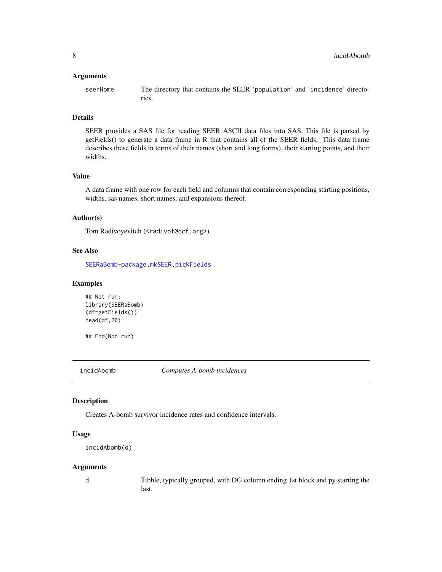#### <span id="page-7-0"></span>Arguments

seerHome The directory that contains the SEER 'population' and 'incidence' directories.

#### Details

SEER provides a SAS file for reading SEER ASCII data files into SAS. This file is parsed by getFields() to generate a data frame in R that contains all of the SEER fields. This data frame describes these fields in terms of their names (short and long forms), their starting points, and their widths.

#### Value

A data frame with one row for each field and columns that contain corresponding starting positions, widths, sas names, short names, and expansions thereof.

#### Author(s)

Tom Radivoyevitch (<radivot@ccf.org>)

# See Also

[SEERaBomb-package](#page-1-1)[,mkSEER,](#page-20-1)[pickFields](#page-26-1)

#### Examples

```
## Not run:
library(SEERaBomb)
(df=getFields())
head(df,20)
```
## End(Not run)

incidAbomb *Computes A-bomb incidences*

#### Description

Creates A-bomb survivor incidence rates and confidence intervals.

# Usage

```
incidAbomb(d)
```
#### Arguments

d Tibble, typically grouped, with DG column ending 1st block and py starting the last.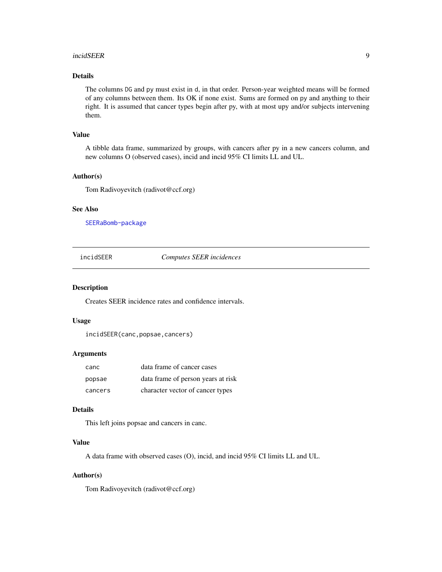#### <span id="page-8-0"></span>incidSEER 9

# Details

The columns DG and py must exist in d, in that order. Person-year weighted means will be formed of any columns between them. Its OK if none exist. Sums are formed on py and anything to their right. It is assumed that cancer types begin after py, with at most upy and/or subjects intervening them.

# Value

A tibble data frame, summarized by groups, with cancers after py in a new cancers column, and new columns O (observed cases), incid and incid 95% CI limits LL and UL.

# Author(s)

Tom Radivoyevitch (radivot@ccf.org)

#### See Also

[SEERaBomb-package](#page-1-1)

incidSEER *Computes SEER incidences*

#### Description

Creates SEER incidence rates and confidence intervals.

#### Usage

```
incidSEER(canc,popsae,cancers)
```
# Arguments

| canc    | data frame of cancer cases         |
|---------|------------------------------------|
| popsae  | data frame of person years at risk |
| cancers | character vector of cancer types   |

# Details

This left joins popsae and cancers in canc.

#### Value

A data frame with observed cases (O), incid, and incid 95% CI limits LL and UL.

# Author(s)

Tom Radivoyevitch (radivot@ccf.org)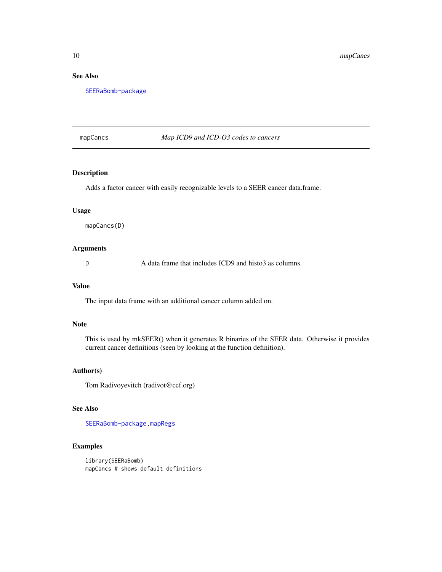# See Also

[SEERaBomb-package](#page-1-1)

### <span id="page-9-1"></span>mapCancs *Map ICD9 and ICD-O3 codes to cancers*

# **Description**

Adds a factor cancer with easily recognizable levels to a SEER cancer data.frame.

# Usage

mapCancs(D)

# Arguments

D A data frame that includes ICD9 and historial as columns.

#### Value

The input data frame with an additional cancer column added on.

#### Note

This is used by mkSEER() when it generates R binaries of the SEER data. Otherwise it provides current cancer definitions (seen by looking at the function definition).

#### Author(s)

Tom Radivoyevitch (radivot@ccf.org)

#### See Also

[SEERaBomb-package](#page-1-1)[,mapRegs](#page-11-1)

# Examples

library(SEERaBomb) mapCancs # shows default definitions

<span id="page-9-0"></span>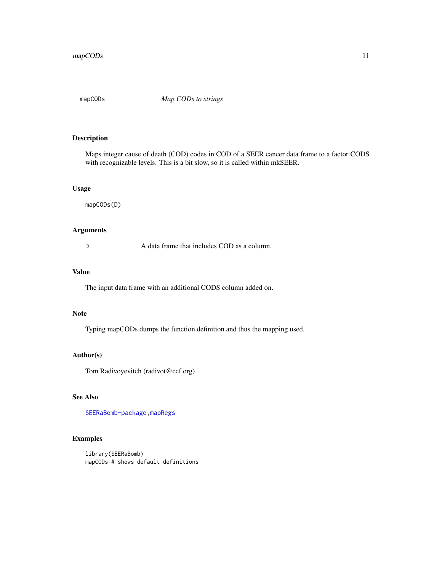<span id="page-10-0"></span>

Maps integer cause of death (COD) codes in COD of a SEER cancer data frame to a factor CODS with recognizable levels. This is a bit slow, so it is called within mkSEER.

#### Usage

mapCODs(D)

# Arguments

D A data frame that includes COD as a column.

# Value

The input data frame with an additional CODS column added on.

#### Note

Typing mapCODs dumps the function definition and thus the mapping used.

#### Author(s)

Tom Radivoyevitch (radivot@ccf.org)

# See Also

[SEERaBomb-package](#page-1-1)[,mapRegs](#page-11-1)

# Examples

library(SEERaBomb) mapCODs # shows default definitions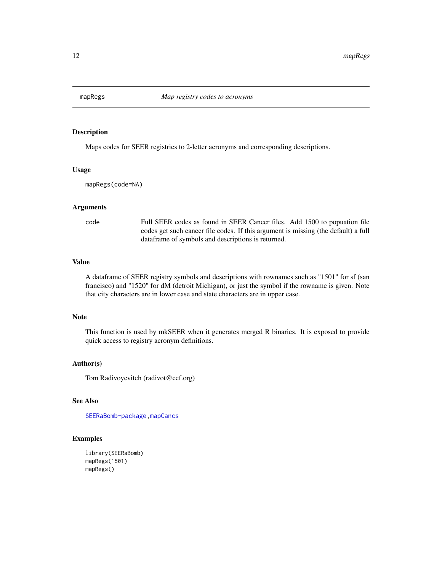<span id="page-11-1"></span><span id="page-11-0"></span>

Maps codes for SEER registries to 2-letter acronyms and corresponding descriptions.

#### Usage

mapRegs(code=NA)

#### **Arguments**

code Full SEER codes as found in SEER Cancer files. Add 1500 to popuation file codes get such cancer file codes. If this argument is missing (the default) a full dataframe of symbols and descriptions is returned.

# Value

A dataframe of SEER registry symbols and descriptions with rownames such as "1501" for sf (san francisco) and "1520" for dM (detroit Michigan), or just the symbol if the rowname is given. Note that city characters are in lower case and state characters are in upper case.

#### Note

This function is used by mkSEER when it generates merged R binaries. It is exposed to provide quick access to registry acronym definitions.

# Author(s)

Tom Radivoyevitch (radivot@ccf.org)

# See Also

[SEERaBomb-package](#page-1-1)[,mapCancs](#page-9-1)

#### Examples

```
library(SEERaBomb)
mapRegs(1501)
mapRegs()
```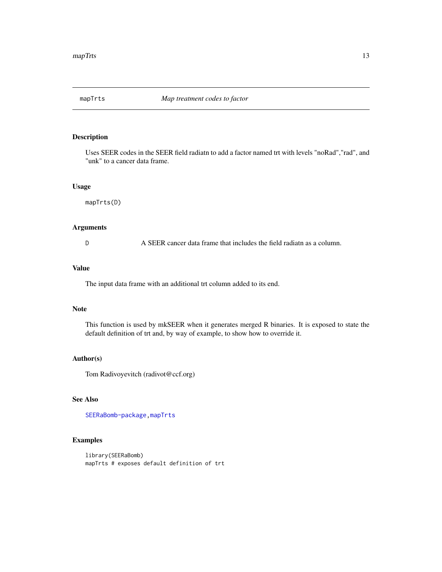<span id="page-12-1"></span><span id="page-12-0"></span>

Uses SEER codes in the SEER field radiatn to add a factor named trt with levels "noRad","rad", and "unk" to a cancer data frame.

# Usage

mapTrts(D)

# Arguments

D A SEER cancer data frame that includes the field radiatn as a column.

#### Value

The input data frame with an additional trt column added to its end.

# Note

This function is used by mkSEER when it generates merged R binaries. It is exposed to state the default definition of trt and, by way of example, to show how to override it.

#### Author(s)

Tom Radivoyevitch (radivot@ccf.org)

# See Also

[SEERaBomb-package](#page-1-1)[,mapTrts](#page-12-1)

# Examples

library(SEERaBomb) mapTrts # exposes default definition of trt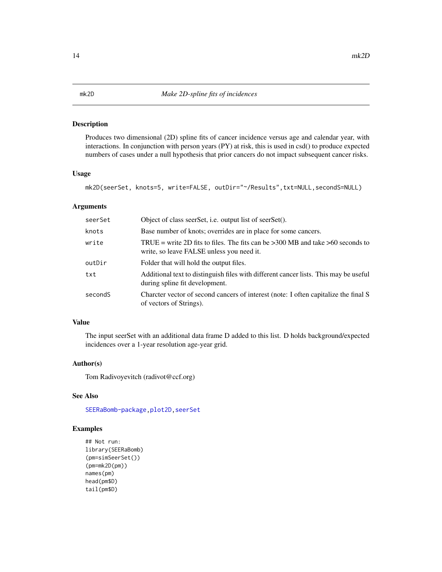<span id="page-13-1"></span><span id="page-13-0"></span>Produces two dimensional (2D) spline fits of cancer incidence versus age and calendar year, with interactions. In conjunction with person years (PY) at risk, this is used in csd() to produce expected numbers of cases under a null hypothesis that prior cancers do not impact subsequent cancer risks.

#### Usage

```
mk2D(seerSet, knots=5, write=FALSE, outDir="~/Results",txt=NULL,secondS=NULL)
```
#### Arguments

| seerSet | Object of class seerSet, i.e. output list of seerSet().                                                                     |
|---------|-----------------------------------------------------------------------------------------------------------------------------|
| knots   | Base number of knots; overrides are in place for some cancers.                                                              |
| write   | TRUE = write 2D fits to files. The fits can be >300 MB and take >60 seconds to<br>write, so leave FALSE unless you need it. |
| outDir  | Folder that will hold the output files.                                                                                     |
| txt     | Additional text to distinguish files with different cancer lists. This may be useful<br>during spline fit development.      |
| secondS | Charcter vector of second cancers of interest (note: I often capitalize the final S<br>of vectors of Strings).              |

# Value

The input seerSet with an additional data frame D added to this list. D holds background/expected incidences over a 1-year resolution age-year grid.

#### Author(s)

Tom Radivoyevitch (radivot@ccf.org)

# See Also

[SEERaBomb-package](#page-1-1), plot2D, [seerSet](#page-29-1)

# Examples

```
## Not run:
library(SEERaBomb)
(pm=simSeerSet())
(pm=mk2D(pm))
names(pm)
head(pm$D)
tail(pm$D)
```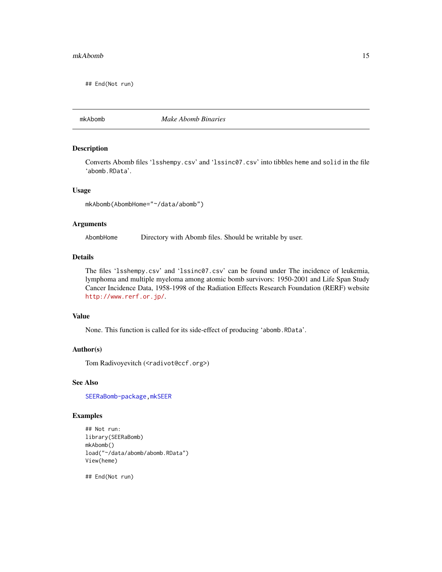<span id="page-14-0"></span>## End(Not run)

<span id="page-14-1"></span>mkAbomb *Make Abomb Binaries*

#### Description

Converts Abomb files 'lsshempy.csv' and 'lssinc07.csv' into tibbles heme and solid in the file 'abomb.RData'.

# Usage

mkAbomb(AbombHome="~/data/abomb")

#### Arguments

AbombHome Directory with Abomb files. Should be writable by user.

#### Details

The files 'lsshempy.csv' and 'lssinc07.csv' can be found under The incidence of leukemia, lymphoma and multiple myeloma among atomic bomb survivors: 1950-2001 and Life Span Study Cancer Incidence Data, 1958-1998 of the Radiation Effects Research Foundation (RERF) website <http://www.rerf.or.jp/>.

#### Value

None. This function is called for its side-effect of producing 'abomb.RData'.

# Author(s)

Tom Radivoyevitch (<radivot@ccf.org>)

#### See Also

[SEERaBomb-package](#page-1-1), mkSEER

#### Examples

```
## Not run:
library(SEERaBomb)
mkAbomb()
load("~/data/abomb/abomb.RData")
View(heme)
```
## End(Not run)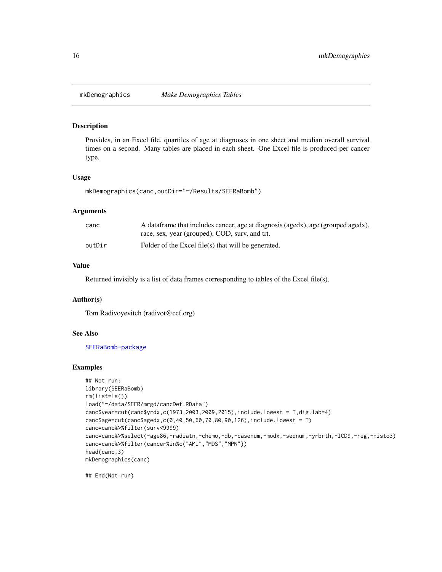<span id="page-15-0"></span>

Provides, in an Excel file, quartiles of age at diagnoses in one sheet and median overall survival times on a second. Many tables are placed in each sheet. One Excel file is produced per cancer type.

#### Usage

```
mkDemographics(canc,outDir="~/Results/SEERaBomb")
```
#### Arguments

| canc   | A dataframe that includes cancer, age at diagnosis (agedx), age (grouped agedx), |
|--------|----------------------------------------------------------------------------------|
|        | race, sex, year (grouped), COD, surv, and trt.                                   |
| outDir | Folder of the Excel file(s) that will be generated.                              |

# Value

Returned invisibly is a list of data frames corresponding to tables of the Excel file(s).

#### Author(s)

Tom Radivoyevitch (radivot@ccf.org)

# See Also

[SEERaBomb-package](#page-1-1)

#### Examples

```
## Not run:
library(SEERaBomb)
rm(list=ls())
load("~/data/SEER/mrgd/cancDef.RData")
canc$year=cut(canc$yrdx,c(1973,2003,2009,2015),include.lowest = T,dig.lab=4)
canc$age=cut(canc$agedx,c(0,40,50,60,70,80,90,126),include.lowest = T)
canc=canc%>%filter(surv<9999)
canc=canc%>%select(-age86,-radiatn,-chemo,-db,-casenum,-modx,-seqnum,-yrbrth,-ICD9,-reg,-histo3)
canc=canc%>%filter(cancer%in%c("AML","MDS","MPN"))
head(canc,3)
mkDemographics(canc)
```
## End(Not run)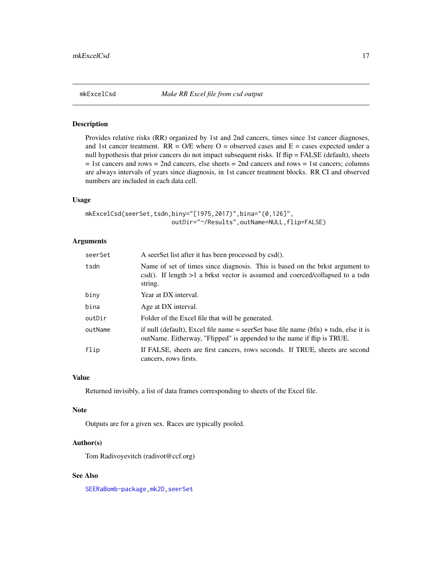<span id="page-16-0"></span>

Provides relative risks (RR) organized by 1st and 2nd cancers, times since 1st cancer diagnoses, and 1st cancer treatment.  $RR = O/E$  where  $O =$  observed cases and  $E =$  cases expected under a null hypothesis that prior cancers do not impact subsequent risks. If flip = FALSE (default), sheets  $= 1$ st cancers and rows  $= 2$ nd cancers, else sheets  $= 2$ nd cancers and rows  $= 1$ st cancers; columns are always intervals of years since diagnosis, in 1st cancer treatment blocks. RR CI and observed numbers are included in each data cell.

#### Usage

```
mkExcelCsd(seerSet,tsdn,biny="[1975,2017)",bina="(0,126]",
                        outDir="~/Results",outName=NULL,flip=FALSE)
```
# Arguments

| seerSet | A seerSet list after it has been processed by csd().                                                                                                                          |
|---------|-------------------------------------------------------------------------------------------------------------------------------------------------------------------------------|
| tsdn    | Name of set of times since diagnosis. This is based on the brkst argument to<br>$csd()$ . If length $>1$ a brkst vector is assumed and coerced/collapsed to a tsdn<br>string. |
| biny    | Year at DX interval.                                                                                                                                                          |
| bina    | Age at DX interval.                                                                                                                                                           |
| outDir  | Folder of the Excel file that will be generated.                                                                                                                              |
| outName | if null (default). Excel file name = seerSet base file name (bfn) + tsdn, else it is<br>outName. Eitherway, "Flipped" is appended to the name if flip is TRUE.                |
| flip    | If FALSE, sheets are first cancers, rows seconds. If TRUE, sheets are second<br>cancers, rows firsts.                                                                         |

#### Value

Returned invisibly, a list of data frames corresponding to sheets of the Excel file.

# Note

Outputs are for a given sex. Races are typically pooled.

#### Author(s)

Tom Radivoyevitch (radivot@ccf.org)

# See Also

[SEERaBomb-package](#page-1-1), mk2D, [seerSet](#page-29-1)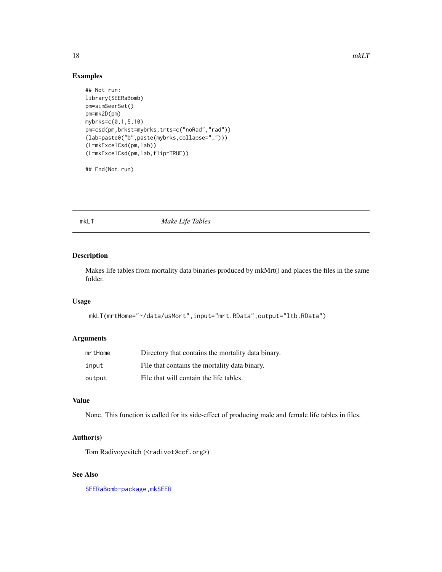# Examples

```
## Not run:
library(SEERaBomb)
pm=simSeerSet()
pm=mk2D(pm)
mybrks=c(0,1,5,10)
pm=csd(pm,brkst=mybrks,trts=c("noRad","rad"))
(lab=paste0("b",paste(mybrks,collapse="_")))
(L=mkExcelCsd(pm,lab))
(L=mkExcelCsd(pm,lab,flip=TRUE))
```
## End(Not run)

# mkLT *Make Life Tables*

# Description

Makes life tables from mortality data binaries produced by mkMrt() and places the files in the same folder.

#### Usage

```
mkLT(mrtHome="~/data/usMort",input="mrt.RData",output="ltb.RData")
```
#### Arguments

| mrtHome | Directory that contains the mortality data binary. |
|---------|----------------------------------------------------|
| input   | File that contains the mortality data binary.      |
| output  | File that will contain the life tables.            |

# Value

None. This function is called for its side-effect of producing male and female life tables in files.

# Author(s)

Tom Radivoyevitch (<radivot@ccf.org>)

# See Also

[SEERaBomb-package](#page-1-1)[,mkSEER](#page-20-1)

<span id="page-17-0"></span>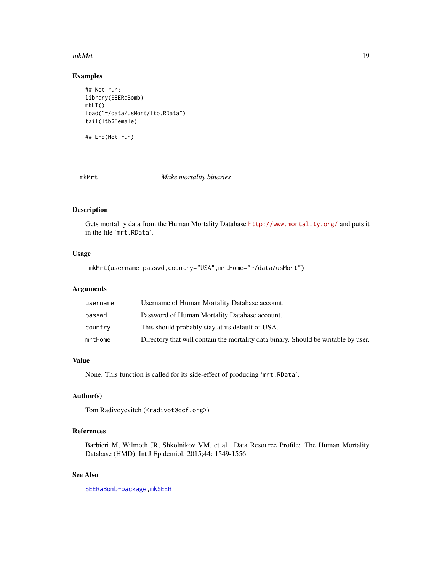#### <span id="page-18-0"></span>mkMrt 19

# Examples

```
## Not run:
library(SEERaBomb)
mkLT()
load("~/data/usMort/ltb.RData")
tail(ltb$Female)
```
## End(Not run)

mkMrt *Make mortality binaries*

# Description

Gets mortality data from the Human Mortality Database <http://www.mortality.org/> and puts it in the file 'mrt.RData'.

# Usage

mkMrt(username,passwd,country="USA",mrtHome="~/data/usMort")

# Arguments

| username | Username of Human Mortality Database account.                                      |
|----------|------------------------------------------------------------------------------------|
| passwd   | Password of Human Mortality Database account.                                      |
| country  | This should probably stay at its default of USA.                                   |
| mrtHome  | Directory that will contain the mortality data binary. Should be writable by user. |

#### Value

None. This function is called for its side-effect of producing 'mrt.RData'.

# Author(s)

Tom Radivoyevitch (<radivot@ccf.org>)

# References

Barbieri M, Wilmoth JR, Shkolnikov VM, et al. Data Resource Profile: The Human Mortality Database (HMD). Int J Epidemiol. 2015;44: 1549-1556.

## See Also

[SEERaBomb-package](#page-1-1)[,mkSEER](#page-20-1)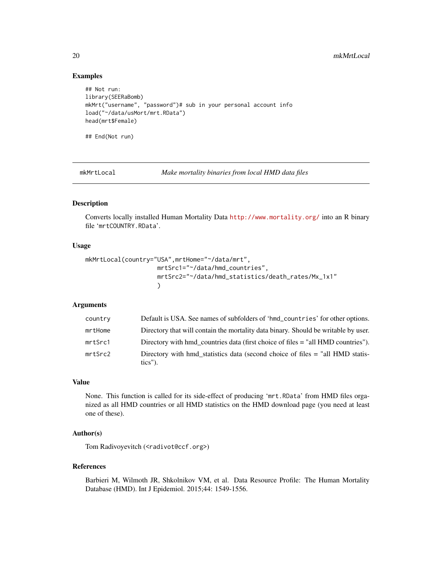# Examples

```
## Not run:
library(SEERaBomb)
mkMrt("username", "password")# sub in your personal account info
load("~/data/usMort/mrt.RData")
head(mrt$Female)
## End(Not run)
```
mkMrtLocal *Make mortality binaries from local HMD data files*

# Description

Converts locally installed Human Mortality Data <http://www.mortality.org/> into an R binary file 'mrtCOUNTRY.RData'.

#### Usage

```
mkMrtLocal(country="USA",mrtHome="~/data/mrt",
                   mrtSrc1="~/data/hmd_countries",
                    mrtSrc2="~/data/hmd_statistics/death_rates/Mx_1x1"
                    )
```
## Arguments

| country | Default is USA. See names of subfolders of 'hmd_countries' for other options.               |
|---------|---------------------------------------------------------------------------------------------|
| mrtHome | Directory that will contain the mortality data binary. Should be writable by user.          |
| mrtSrc1 | Directory with hmd countries data (first choice of files = "all HMD countries").            |
| mrtSrc2 | Directory with hmd_statistics data (second choice of files = "all HMD statis-<br>$tics$ "). |

# Value

None. This function is called for its side-effect of producing 'mrt.RData' from HMD files organized as all HMD countries or all HMD statistics on the HMD download page (you need at least one of these).

# Author(s)

Tom Radivoyevitch (<radivot@ccf.org>)

#### References

Barbieri M, Wilmoth JR, Shkolnikov VM, et al. Data Resource Profile: The Human Mortality Database (HMD). Int J Epidemiol. 2015;44: 1549-1556.

<span id="page-19-0"></span>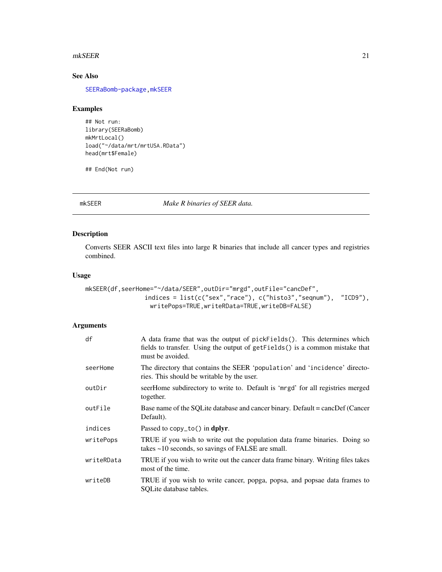#### <span id="page-20-0"></span> $m$ kSEER 21

# See Also

[SEERaBomb-package](#page-1-1)[,mkSEER](#page-20-1)

# Examples

```
## Not run:
library(SEERaBomb)
mkMrtLocal()
load("~/data/mrt/mrtUSA.RData")
head(mrt$Female)
```
## End(Not run)

<span id="page-20-1"></span>mkSEER *Make R binaries of SEER data.*

# Description

Converts SEER ASCII text files into large R binaries that include all cancer types and registries combined.

#### Usage

```
mkSEER(df,seerHome="~/data/SEER",outDir="mrgd",outFile="cancDef",
                indices = list(c("sex","race"), c("histo3","seqnum"), "ICD9"),
                  writePops=TRUE,writeRData=TRUE,writeDB=FALSE)
```
# Arguments

| df         | A data frame that was the output of pickFields(). This determines which<br>fields to transfer. Using the output of getFields() is a common mistake that<br>must be avoided. |
|------------|-----------------------------------------------------------------------------------------------------------------------------------------------------------------------------|
| seerHome   | The directory that contains the SEER 'population' and 'incidence' directo-<br>ries. This should be writable by the user.                                                    |
| outDir     | seerHome subdirectory to write to. Default is 'mrgd' for all registries merged<br>together.                                                                                 |
| outFile    | Base name of the SQLite database and cancer binary. Default = cancDef (Cancer<br>Default).                                                                                  |
| indices    | Passed to $copy_to()$ in dplyr.                                                                                                                                             |
| writePops  | TRUE if you wish to write out the population data frame binaries. Doing so<br>takes $\sim$ 10 seconds, so savings of FALSE are small.                                       |
| writeRData | TRUE if you wish to write out the cancer data frame binary. Writing files takes<br>most of the time.                                                                        |
| writeDB    | TRUE if you wish to write cancer, popga, popsa, and popsae data frames to<br>SQLite database tables.                                                                        |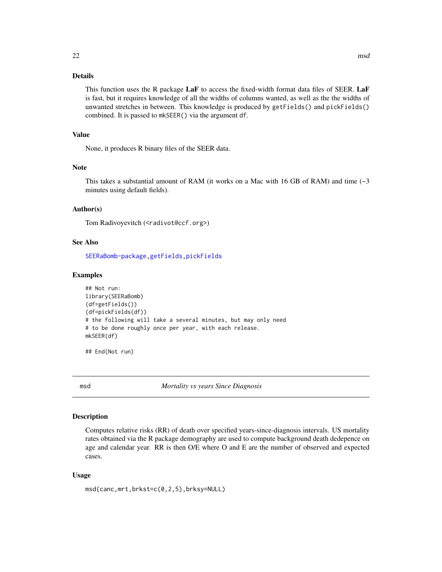# <span id="page-21-0"></span>Details

This function uses the R package LaF to access the fixed-width format data files of SEER. LaF is fast, but it requires knowledge of all the widths of columns wanted, as well as the the widths of unwanted stretches in between. This knowledge is produced by getFields() and pickFields() combined. It is passed to mkSEER() via the argument df.

#### Value

None, it produces R binary files of the SEER data.

#### Note

This takes a substantial amount of RAM (it works on a Mac with 16 GB of RAM) and time  $(\sim 3$ minutes using default fields).

# Author(s)

Tom Radivoyevitch (<radivot@ccf.org>)

# See Also

[SEERaBomb-package](#page-1-1)[,getFields,](#page-6-1)[pickFields](#page-26-1)

#### Examples

```
## Not run:
library(SEERaBomb)
(df=getFields())
(df=pickFields(df))
# the following will take a several minutes, but may only need
# to be done roughly once per year, with each release.
mkSEER(df)
```
## End(Not run)

<span id="page-21-1"></span>msd *Mortality vs years Since Diagnosis*

# Description

Computes relative risks (RR) of death over specified years-since-diagnosis intervals. US mortality rates obtained via the R package demography are used to compute background death dedepence on age and calendar year. RR is then O/E where O and E are the number of observed and expected cases.

#### Usage

```
msd(canc,mrt,brkst=c(0,2,5),brksy=NULL)
```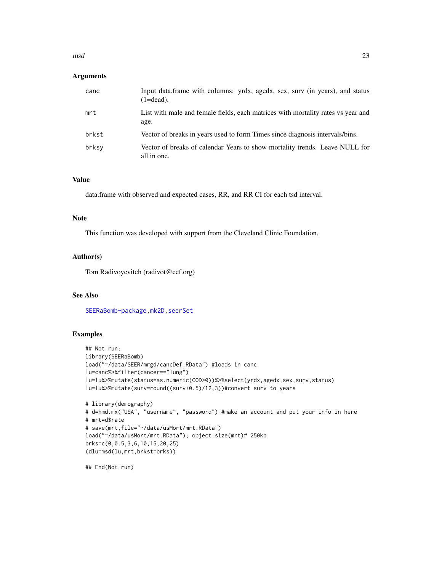#### <span id="page-22-0"></span> $\rm{msd}$  23

#### Arguments

| canc  | Input data.frame with columns: yrdx, agedx, sex, surv (in years), and status<br>$(1=dead)$ . |
|-------|----------------------------------------------------------------------------------------------|
| mrt   | List with male and female fields, each matrices with mortality rates vs year and<br>age.     |
| brkst | Vector of breaks in years used to form Times since diagnosis intervals/bins.                 |
| brksy | Vector of breaks of calendar Years to show mortality trends. Leave NULL for<br>all in one.   |

# Value

data.frame with observed and expected cases, RR, and RR CI for each tsd interval.

# Note

This function was developed with support from the Cleveland Clinic Foundation.

#### Author(s)

Tom Radivoyevitch (radivot@ccf.org)

#### See Also

[SEERaBomb-package](#page-1-1), mk2D, [seerSet](#page-29-1)

# Examples

```
## Not run:
library(SEERaBomb)
load("~/data/SEER/mrgd/cancDef.RData") #loads in canc
lu=canc%>%filter(cancer=="lung")
lu=lu%>%mutate(status=as.numeric(COD>0))%>%select(yrdx,agedx,sex,surv,status)
lu=lu%>%mutate(surv=round((surv+0.5)/12,3))#convert surv to years
# library(demography)
# d=hmd.mx("USA", "username", "password") #make an account and put your info in here
# mrt=d$rate
# save(mrt,file="~/data/usMort/mrt.RData")
load("~/data/usMort/mrt.RData"); object.size(mrt)# 250kb
brks=c(0,0.5,3,6,10,15,20,25)
(dlu=msd(lu,mrt,brkst=brks))
```
## End(Not run)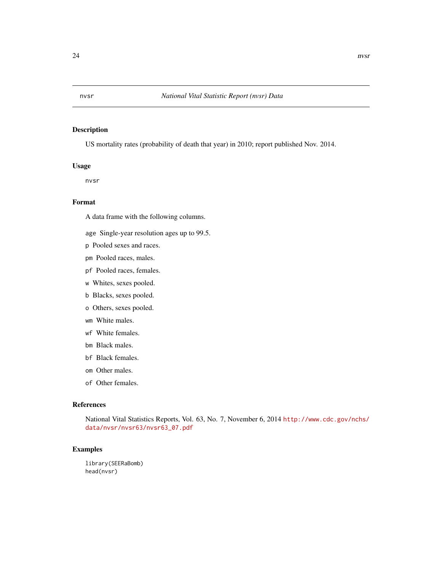<span id="page-23-0"></span>

US mortality rates (probability of death that year) in 2010; report published Nov. 2014.

# Usage

nvsr

# Format

A data frame with the following columns.

- age Single-year resolution ages up to 99.5.
- p Pooled sexes and races.
- pm Pooled races, males.
- pf Pooled races, females.
- w Whites, sexes pooled.
- b Blacks, sexes pooled.
- o Others, sexes pooled.
- wm White males.
- wf White females.
- bm Black males.
- bf Black females.
- om Other males.
- of Other females.

# References

National Vital Statistics Reports, Vol. 63, No. 7, November 6, 2014 [http://www.cdc.gov/nchs/](http://www.cdc.gov/nchs/data/nvsr/nvsr63/nvsr63_07.pdf) [data/nvsr/nvsr63/nvsr63\\_07.pdf](http://www.cdc.gov/nchs/data/nvsr/nvsr63/nvsr63_07.pdf)

# Examples

library(SEERaBomb) head(nvsr)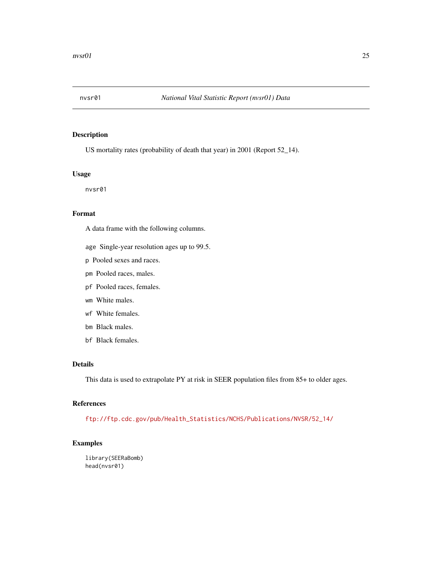<span id="page-24-0"></span>

US mortality rates (probability of death that year) in 2001 (Report 52\_14).

# Usage

nvsr01

# Format

A data frame with the following columns.

- age Single-year resolution ages up to 99.5.
- p Pooled sexes and races.
- pm Pooled races, males.
- pf Pooled races, females.
- wm White males.
- wf White females.
- bm Black males.
- bf Black females.

#### Details

This data is used to extrapolate PY at risk in SEER population files from 85+ to older ages.

# References

[ftp://ftp.cdc.gov/pub/Health\\_Statistics/NCHS/Publications/NVSR/52\\_14/](ftp://ftp.cdc.gov/pub/Health_Statistics/NCHS/Publications/NVSR/52_14/)

# Examples

library(SEERaBomb) head(nvsr01)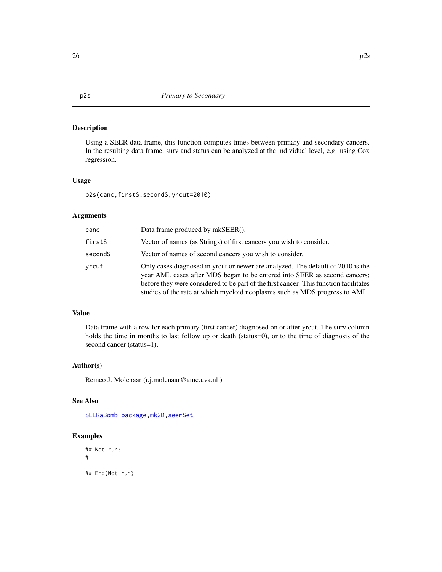Using a SEER data frame, this function computes times between primary and secondary cancers. In the resulting data frame, surv and status can be analyzed at the individual level, e.g. using Cox regression.

#### Usage

p2s(canc,firstS,secondS,yrcut=2010)

#### Arguments

| canc    | Data frame produced by mkSEER().                                                                                                                                                                                                                                                                                                     |
|---------|--------------------------------------------------------------------------------------------------------------------------------------------------------------------------------------------------------------------------------------------------------------------------------------------------------------------------------------|
| firstS  | Vector of names (as Strings) of first cancers you wish to consider.                                                                                                                                                                                                                                                                  |
| secondS | Vector of names of second cancers you wish to consider.                                                                                                                                                                                                                                                                              |
| vrcut   | Only cases diagnosed in yrcut or newer are analyzed. The default of 2010 is the<br>year AML cases after MDS began to be entered into SEER as second cancers;<br>before they were considered to be part of the first cancer. This function facilitates<br>studies of the rate at which myeloid neoplasms such as MDS progress to AML. |

# Value

Data frame with a row for each primary (first cancer) diagnosed on or after yrcut. The surv column holds the time in months to last follow up or death (status=0), or to the time of diagnosis of the second cancer (status=1).

# Author(s)

Remco J. Molenaar (r.j.molenaar@amc.uva.nl )

# See Also

[SEERaBomb-package](#page-1-1), mk2D, [seerSet](#page-29-1)

#### Examples

## Not run: # ## End(Not run)

<span id="page-25-0"></span>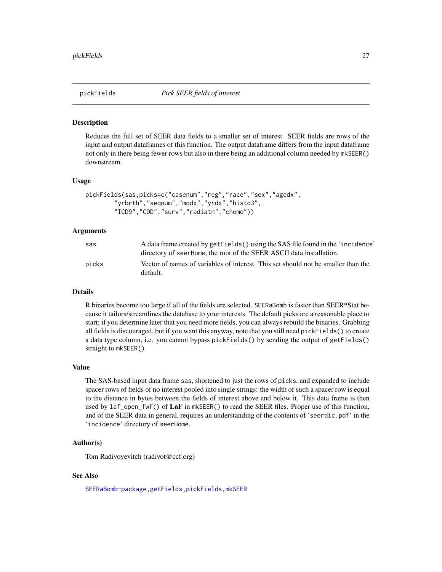<span id="page-26-1"></span><span id="page-26-0"></span>

Reduces the full set of SEER data fields to a smaller set of interest. SEER fields are rows of the input and output dataframes of this function. The output dataframe differs from the input dataframe not only in there being fewer rows but also in there being an additional column needed by mkSEER() downstream.

#### Usage

```
pickFields(sas,picks=c("casenum","reg","race","sex","agedx",
        "yrbrth","seqnum","modx","yrdx","histo3",
        "ICD9","COD","surv","radiatn","chemo"))
```
# Arguments

| sas   | A data frame created by getFields () using the SAS file found in the 'incidence'<br>directory of seerHome, the root of the SEER ASCII data installation. |
|-------|----------------------------------------------------------------------------------------------------------------------------------------------------------|
| picks | Vector of names of variables of interest. This set should not be smaller than the<br>default.                                                            |

#### Details

R binaries become too large if all of the fields are selected. SEERaBomb is faster than SEER\*Stat because it tailors/streamlines the database to your interests. The default picks are a reasonable place to start; if you determine later that you need more fields, you can always rebuild the binaries. Grabbing all fields is discouraged, but if you want this anyway, note that you still need pickFields() to create a data type column, i.e. you cannot bypass pickFields() by sending the output of getFields() straight to mkSEER().

#### Value

The SAS-based input data frame sas, shortened to just the rows of picks, and expanded to include spacer rows of fields of no interest pooled into single strings: the width of such a spacer row is equal to the distance in bytes between the fields of interest above and below it. This data frame is then used by  $laf\_open_fwf()$  of  $LaF$  in mkSEER() to read the SEER files. Proper use of this function, and of the SEER data in general, requires an understanding of the contents of 'seerdic.pdf' in the 'incidence' directory of seerHome.

# Author(s)

Tom Radivoyevitch (radivot@ccf.org)

#### See Also

[SEERaBomb-package](#page-1-1)[,getFields,](#page-6-1)[pickFields,](#page-26-1)[mkSEER](#page-20-1)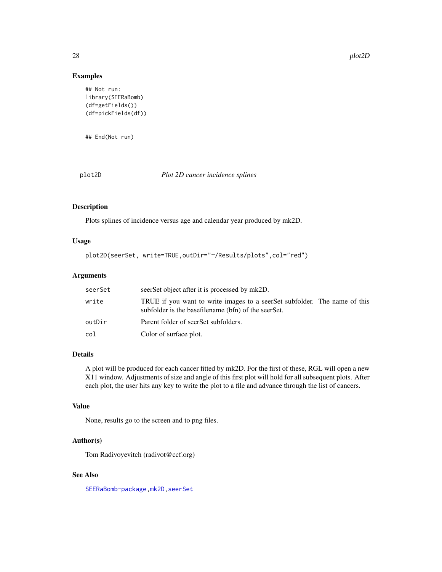#### Examples

```
## Not run:
library(SEERaBomb)
(df=getFields())
(df=pickFields(df))
```
## End(Not run)

<span id="page-27-1"></span>

plot2D *Plot 2D cancer incidence splines*

# Description

Plots splines of incidence versus age and calendar year produced by mk2D.

# Usage

```
plot2D(seerSet, write=TRUE,outDir="~/Results/plots",col="red")
```
# Arguments

| seerSet | seerSet object after it is processed by mk2D.                                                                                    |
|---------|----------------------------------------------------------------------------------------------------------------------------------|
| write   | TRUE if you want to write images to a seerSet subfolder. The name of this<br>subfolder is the basefilename (bfn) of the seerSet. |
| outDir  | Parent folder of seerSet subfolders.                                                                                             |
| col     | Color of surface plot.                                                                                                           |

# Details

A plot will be produced for each cancer fitted by mk2D. For the first of these, RGL will open a new X11 window. Adjustments of size and angle of this first plot will hold for all subsequent plots. After each plot, the user hits any key to write the plot to a file and advance through the list of cancers.

#### Value

None, results go to the screen and to png files.

# Author(s)

Tom Radivoyevitch (radivot@ccf.org)

## See Also

[SEERaBomb-package](#page-1-1), mk2D, [seerSet](#page-29-1)

<span id="page-27-0"></span>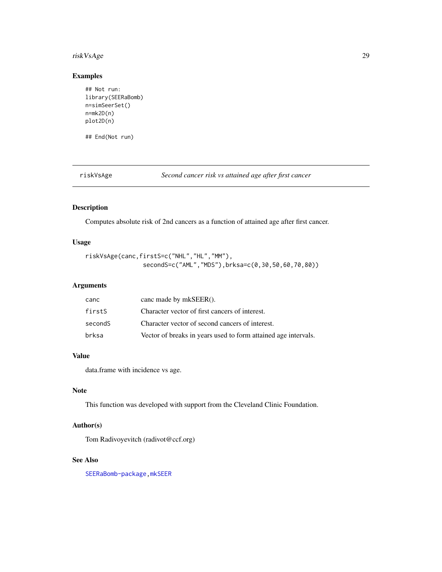# <span id="page-28-0"></span>riskVsAge 29

# Examples

```
## Not run:
library(SEERaBomb)
n=simSeerSet()
n=mk2D(n)
plot2D(n)
```
## End(Not run)

riskVsAge *Second cancer risk vs attained age after first cancer*

# Description

Computes absolute risk of 2nd cancers as a function of attained age after first cancer.

# Usage

```
riskVsAge(canc,firstS=c("NHL","HL","MM"),
                secondS=c("AML","MDS"),brksa=c(0,30,50,60,70,80))
```
# Arguments

| canc    | canc made by mkSEER().                                         |
|---------|----------------------------------------------------------------|
| firstS  | Character vector of first cancers of interest.                 |
| secondS | Character vector of second cancers of interest.                |
| brksa   | Vector of breaks in years used to form attained age intervals. |

# Value

data.frame with incidence vs age.

#### Note

This function was developed with support from the Cleveland Clinic Foundation.

# Author(s)

Tom Radivoyevitch (radivot@ccf.org)

#### See Also

[SEERaBomb-package](#page-1-1)[,mkSEER](#page-20-1)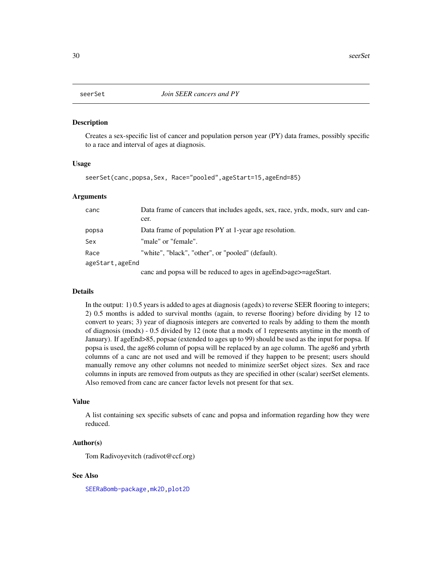<span id="page-29-1"></span><span id="page-29-0"></span>Creates a sex-specific list of cancer and population person year (PY) data frames, possibly specific to a race and interval of ages at diagnosis.

#### Usage

seerSet(canc,popsa,Sex, Race="pooled",ageStart=15,ageEnd=85)

#### Arguments

| canc             | Data frame of cancers that includes agedx, sex, race, yrdx, modx, surv and can-<br>cer. |
|------------------|-----------------------------------------------------------------------------------------|
| popsa            | Data frame of population PY at 1-year age resolution.                                   |
| Sex              | "male" or "female".                                                                     |
| Race             | "white", "black", "other", or "pooled" (default).                                       |
| ageStart, ageEnd |                                                                                         |
|                  | canc and popsa will be reduced to ages in ageEnd>age>=ageStart.                         |

#### Details

In the output: 1) 0.5 years is added to ages at diagnosis (agedx) to reverse SEER flooring to integers; 2) 0.5 months is added to survival months (again, to reverse flooring) before dividing by 12 to convert to years; 3) year of diagnosis integers are converted to reals by adding to them the month of diagnosis (modx) - 0.5 divided by 12 (note that a modx of 1 represents anytime in the month of January). If ageEnd>85, popsae (extended to ages up to 99) should be used as the input for popsa. If popsa is used, the age86 column of popsa will be replaced by an age column. The age86 and yrbrth columns of a canc are not used and will be removed if they happen to be present; users should manually remove any other columns not needed to minimize seerSet object sizes. Sex and race columns in inputs are removed from outputs as they are specified in other (scalar) seerSet elements. Also removed from canc are cancer factor levels not present for that sex.

# Value

A list containing sex specific subsets of canc and popsa and information regarding how they were reduced.

#### Author(s)

Tom Radivoyevitch (radivot@ccf.org)

# See Also

[SEERaBomb-package](#page-1-1), mk2D, [plot2D](#page-27-1)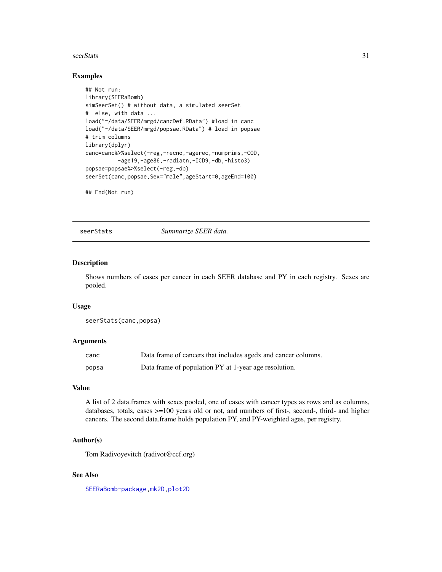#### <span id="page-30-0"></span>seerStats 31

#### Examples

```
## Not run:
library(SEERaBomb)
simSeerSet() # without data, a simulated seerSet
# else, with data ...
load("~/data/SEER/mrgd/cancDef.RData") #load in canc
load("~/data/SEER/mrgd/popsae.RData") # load in popsae
# trim columns
library(dplyr)
canc=canc%>%select(-reg,-recno,-agerec,-numprims,-COD,
          -age19,-age86,-radiatn,-ICD9,-db,-histo3)
popsae=popsae%>%select(-reg,-db)
seerSet(canc, popsae, Sex="male", ageStart=0, ageEnd=100)
```
## End(Not run)

seerStats *Summarize SEER data.*

#### Description

Shows numbers of cases per cancer in each SEER database and PY in each registry. Sexes are pooled.

#### Usage

```
seerStats(canc,popsa)
```
# Arguments

| canc  | Data frame of cancers that includes agedx and cancer columns. |
|-------|---------------------------------------------------------------|
| popsa | Data frame of population PY at 1-year age resolution.         |

#### Value

A list of 2 data.frames with sexes pooled, one of cases with cancer types as rows and as columns, databases, totals, cases >=100 years old or not, and numbers of first-, second-, third- and higher cancers. The second data.frame holds population PY, and PY-weighted ages, per registry.

# Author(s)

Tom Radivoyevitch (radivot@ccf.org)

## See Also

[SEERaBomb-package](#page-1-1), mk2D, [plot2D](#page-27-1)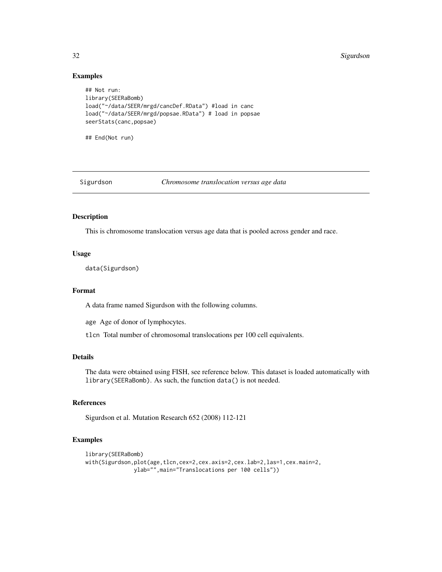#### 32 Sigurdson

#### Examples

```
## Not run:
library(SEERaBomb)
load("~/data/SEER/mrgd/cancDef.RData") #load in canc
load("~/data/SEER/mrgd/popsae.RData") # load in popsae
seerStats(canc,popsae)
```
## End(Not run)

Sigurdson *Chromosome translocation versus age data*

#### Description

This is chromosome translocation versus age data that is pooled across gender and race.

# Usage

data(Sigurdson)

# Format

A data frame named Sigurdson with the following columns.

age Age of donor of lymphocytes.

tlcn Total number of chromosomal translocations per 100 cell equivalents.

# Details

The data were obtained using FISH, see reference below. This dataset is loaded automatically with library(SEERaBomb). As such, the function data() is not needed.

# References

Sigurdson et al. Mutation Research 652 (2008) 112-121

# Examples

```
library(SEERaBomb)
with(Sigurdson,plot(age,tlcn,cex=2,cex.axis=2,cex.lab=2,las=1,cex.main=2,
              ylab="",main="Translocations per 100 cells"))
```
<span id="page-31-0"></span>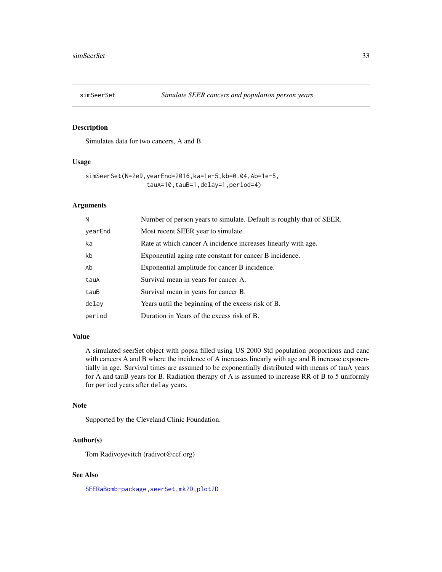<span id="page-32-0"></span>

Simulates data for two cancers, A and B.

#### Usage

```
simSeerSet(N=2e9,yearEnd=2016,ka=1e-5,kb=0.04,Ab=1e-5,
                 tauA=10,tauB=1,delay=1,period=4)
```
#### Arguments

| N       | Number of person years to simulate. Default is roughly that of SEER. |
|---------|----------------------------------------------------------------------|
| yearEnd | Most recent SEER year to simulate.                                   |
| ka      | Rate at which cancer A incidence increases linearly with age.        |
| kb      | Exponential aging rate constant for cancer B incidence.              |
| Ab      | Exponential amplitude for cancer B incidence.                        |
| tauA    | Survival mean in years for cancer A.                                 |
| tauB    | Survival mean in years for cancer B.                                 |
| delay   | Years until the beginning of the excess risk of B.                   |
| period  | Duration in Years of the excess risk of B.                           |

# Value

A simulated seerSet object with popsa filled using US 2000 Std population proportions and canc with cancers A and B where the incidence of A increases linearly with age and B increase exponentially in age. Survival times are assumed to be exponentially distributed with means of tauA years for A and tauB years for B. Radiation therapy of A is assumed to increase RR of B to 5 uniformly for period years after delay years.

#### Note

Supported by the Cleveland Clinic Foundation.

# Author(s)

Tom Radivoyevitch (radivot@ccf.org)

#### See Also

[SEERaBomb-package](#page-1-1), seerSet, [mk2D,](#page-13-1) [plot2D](#page-27-1)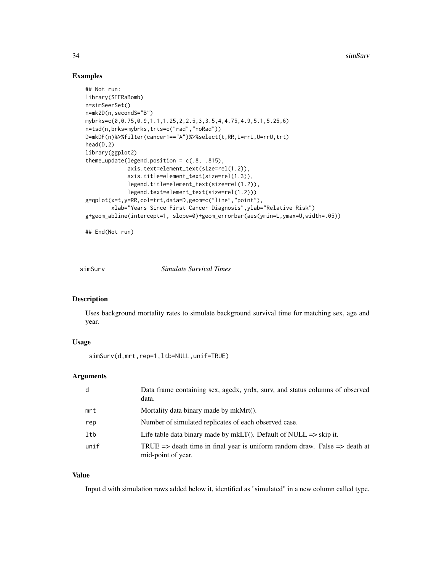# Examples

```
## Not run:
library(SEERaBomb)
n=simSeerSet()
n=mk2D(n,secondS="B")
mybrks=c(0,0.75,0.9,1.1,1.25,2,2.5,3,3.5,4,4.75,4.9,5.1,5.25,6)
n=tsd(n,brks=mybrks,trts=c("rad","noRad"))
D=mkDF(n)%>%filter(cancer1=="A")%>%select(t,RR,L=rrL,U=rrU,trt)
head(D,2)
library(ggplot2)
theme_update(legend.position = c(.8, .815),
             axis.text=element_text(size=rel(1.2)),
             axis.title=element_text(size=rel(1.3)),
             legend.title=element_text(size=rel(1.2)),
             legend.text=element_text(size=rel(1.2)))
g=qplot(x=t,y=RR,col=trt,data=D,geom=c("line","point"),
       xlab="Years Since First Cancer Diagnosis",ylab="Relative Risk")
g+geom_abline(intercept=1, slope=0)+geom_errorbar(aes(ymin=L,ymax=U,width=.05))
```
## End(Not run)

simSurv *Simulate Survival Times*

#### Description

Uses background mortality rates to simulate background survival time for matching sex, age and year.

# Usage

```
simSurv(d,mrt,rep=1,ltb=NULL,unif=TRUE)
```
## Arguments

| d    | Data frame containing sex, agedx, yrdx, surv, and status columns of observed<br>data.                                  |
|------|------------------------------------------------------------------------------------------------------------------------|
| mrt  | Mortality data binary made by mkMrt().                                                                                 |
| rep  | Number of simulated replicates of each observed case.                                                                  |
| ltb  | Life table data binary made by mkLT(). Default of NULL $\Rightarrow$ skip it.                                          |
| unif | TRUE $\Rightarrow$ death time in final year is uniform random draw. False $\Rightarrow$ death at<br>mid-point of year. |

#### Value

Input d with simulation rows added below it, identified as "simulated" in a new column called type.

<span id="page-33-0"></span>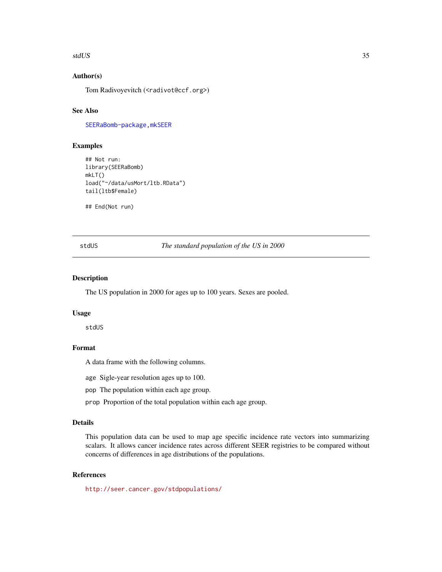#### <span id="page-34-0"></span>stdUS 35

# Author(s)

Tom Radivoyevitch (<radivot@ccf.org>)

# See Also

[SEERaBomb-package](#page-1-1), mkSEER

#### Examples

```
## Not run:
library(SEERaBomb)
mkLT()
load("~/data/usMort/ltb.RData")
tail(ltb$Female)
```
## End(Not run)

stdUS *The standard population of the US in 2000*

# Description

The US population in 2000 for ages up to 100 years. Sexes are pooled.

#### Usage

stdUS

# Format

A data frame with the following columns.

age Sigle-year resolution ages up to 100.

pop The population within each age group.

prop Proportion of the total population within each age group.

#### Details

This population data can be used to map age specific incidence rate vectors into summarizing scalars. It allows cancer incidence rates across different SEER registries to be compared without concerns of differences in age distributions of the populations.

# References

<http://seer.cancer.gov/stdpopulations/>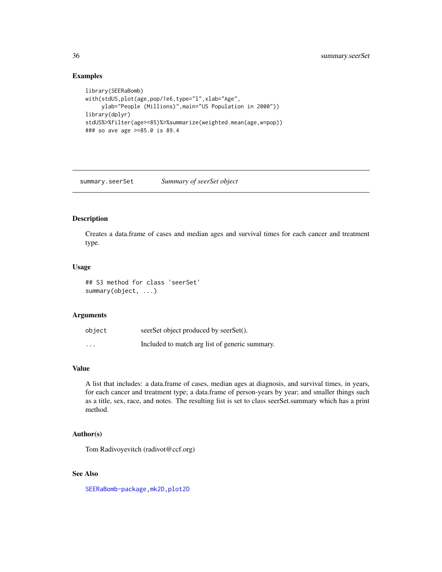# Examples

```
library(SEERaBomb)
with(stdUS,plot(age,pop/1e6,type="l",xlab="Age",
     ylab="People (Millions)",main="US Population in 2000"))
library(dplyr)
stdUS%>%filter(age>=85)%>%summarize(weighted.mean(age,w=pop))
### so ave age >=85.0 is 89.4
```
summary.seerSet *Summary of seerSet object*

# Description

Creates a data.frame of cases and median ages and survival times for each cancer and treatment type.

#### Usage

```
## S3 method for class 'seerSet'
summary(object, ...)
```
# Arguments

| object                  | seerSet object produced by seerSet().          |
|-------------------------|------------------------------------------------|
| $\cdot$ $\cdot$ $\cdot$ | Included to match arg list of generic summary. |

# Value

A list that includes: a data.frame of cases, median ages at diagnosis, and survival times, in years, for each cancer and treatment type; a data.frame of person-years by year; and smaller things such as a title, sex, race, and notes. The resulting list is set to class seerSet.summary which has a print method.

#### Author(s)

Tom Radivoyevitch (radivot@ccf.org)

# See Also

[SEERaBomb-package](#page-1-1), mk2D, [plot2D](#page-27-1)

<span id="page-35-0"></span>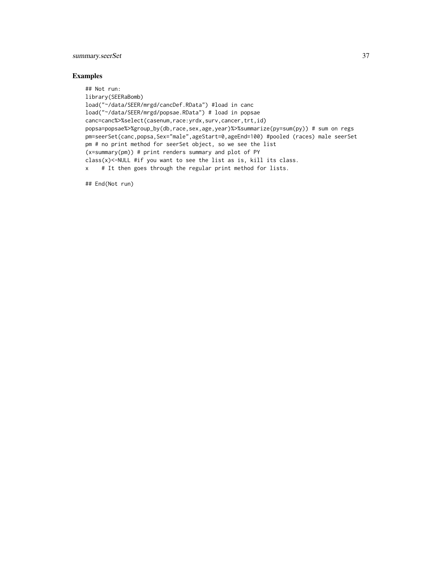# summary.seerSet 37

## Examples

```
## Not run:
library(SEERaBomb)
load("~/data/SEER/mrgd/cancDef.RData") #load in canc
load("~/data/SEER/mrgd/popsae.RData") # load in popsae
canc=canc%>%select(casenum,race:yrdx,surv,cancer,trt,id)
popsa=popsae%>%group_by(db,race,sex,age,year)%>%summarize(py=sum(py)) # sum on regs
pm=seerSet(canc,popsa,Sex="male",ageStart=0,ageEnd=100) #pooled (races) male seerSet
pm # no print method for seerSet object, so we see the list
(x=summary(pm)) # print renders summary and plot of PY
class(x)<-NULL #if you want to see the list as is, kill its class.
x # It then goes through the regular print method for lists.
```
## End(Not run)